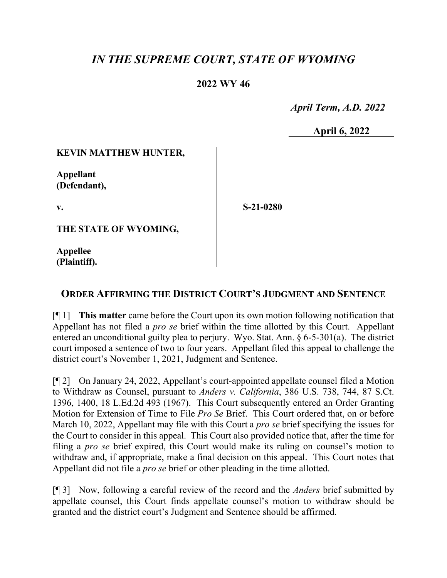# *IN THE SUPREME COURT, STATE OF WYOMING*

# **2022 WY 46**

 *April Term, A.D. 2022*

**April 6, 2022**

### **KEVIN MATTHEW HUNTER,**

**Appellant (Defendant),**

**v.**

**S-21-0280**

**THE STATE OF WYOMING,**

**Appellee (Plaintiff).**

# **ORDER AFFIRMING THE DISTRICT COURT'S JUDGMENT AND SENTENCE**

[¶ 1] **This matter** came before the Court upon its own motion following notification that Appellant has not filed a *pro se* brief within the time allotted by this Court. Appellant entered an unconditional guilty plea to perjury. Wyo. Stat. Ann. § 6-5-301(a). The district court imposed a sentence of two to four years. Appellant filed this appeal to challenge the district court's November 1, 2021, Judgment and Sentence.

[¶ 2] On January 24, 2022, Appellant's court-appointed appellate counsel filed a Motion to Withdraw as Counsel, pursuant to *Anders v. California*, 386 U.S. 738, 744, 87 S.Ct. 1396, 1400, 18 L.Ed.2d 493 (1967). This Court subsequently entered an Order Granting Motion for Extension of Time to File *Pro Se* Brief. This Court ordered that, on or before March 10, 2022, Appellant may file with this Court a *pro se* brief specifying the issues for the Court to consider in this appeal. This Court also provided notice that, after the time for filing a *pro se* brief expired, this Court would make its ruling on counsel's motion to withdraw and, if appropriate, make a final decision on this appeal. This Court notes that Appellant did not file a *pro se* brief or other pleading in the time allotted.

[¶ 3] Now, following a careful review of the record and the *Anders* brief submitted by appellate counsel, this Court finds appellate counsel's motion to withdraw should be granted and the district court's Judgment and Sentence should be affirmed.